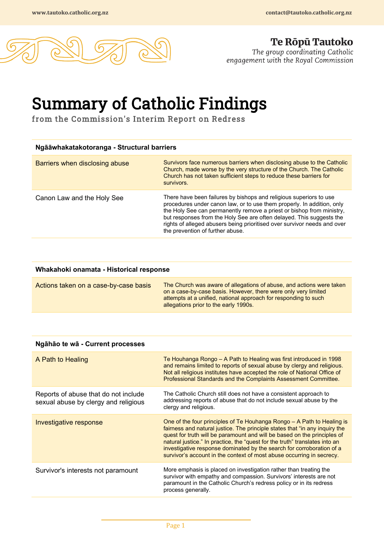

**Te Ropu Tautoko**<br>The group coordinating Catholic<br>engagement with the Royal Commission

## Summary of Catholic Findings from the Commission's Interim Report on Redress

| Ngāāwhakatakotoranga - Structural barriers |                                                                                                                                                                                                                                                                                                                                                                                                               |
|--------------------------------------------|---------------------------------------------------------------------------------------------------------------------------------------------------------------------------------------------------------------------------------------------------------------------------------------------------------------------------------------------------------------------------------------------------------------|
| Barriers when disclosing abuse             | Survivors face numerous barriers when disclosing abuse to the Catholic<br>Church, made worse by the very structure of the Church. The Catholic<br>Church has not taken sufficient steps to reduce these barriers for<br>survivors.                                                                                                                                                                            |
| Canon Law and the Holy See                 | There have been failures by bishops and religious superiors to use<br>procedures under canon law, or to use them properly. In addition, only<br>the Holy See can permanently remove a priest or bishop from ministry,<br>but responses from the Holy See are often delayed. This suggests the<br>rights of alleged abusers being prioritised over survivor needs and over<br>the prevention of further abuse. |

| Whakahoki onamata - Historical response |                                                                                                                                                                                                                                                    |
|-----------------------------------------|----------------------------------------------------------------------------------------------------------------------------------------------------------------------------------------------------------------------------------------------------|
| Actions taken on a case-by-case basis   | The Church was aware of allegations of abuse, and actions were taken<br>on a case-by-case basis. However, there were only very limited<br>attempts at a unified, national approach for responding to such<br>allegations prior to the early 1990s. |

| Ngāhāo te wā - Current processes |  |
|----------------------------------|--|
|----------------------------------|--|

| A Path to Healing                                                            | Te Houhanga Rongo – A Path to Healing was first introduced in 1998<br>and remains limited to reports of sexual abuse by clergy and religious.<br>Not all religious institutes have accepted the role of National Office of<br>Professional Standards and the Complaints Assessment Committee.                                                                                                                                                                      |
|------------------------------------------------------------------------------|--------------------------------------------------------------------------------------------------------------------------------------------------------------------------------------------------------------------------------------------------------------------------------------------------------------------------------------------------------------------------------------------------------------------------------------------------------------------|
| Reports of abuse that do not include<br>sexual abuse by clergy and religious | The Catholic Church still does not have a consistent approach to<br>addressing reports of abuse that do not include sexual abuse by the<br>clergy and religious.                                                                                                                                                                                                                                                                                                   |
| Investigative response                                                       | One of the four principles of Te Houhanga Rongo – A Path to Healing is<br>fairness and natural justice. The principle states that "in any inquiry the<br>quest for truth will be paramount and will be based on the principles of<br>natural justice." In practice, the "quest for the truth" translates into an<br>investigative response dominated by the search for corroboration of a<br>survivor's account in the context of most abuse occurring in secrecy. |
| Survivor's interests not paramount                                           | More emphasis is placed on investigation rather than treating the<br>survivor with empathy and compassion. Survivors' interests are not<br>paramount in the Catholic Church's redress policy or in its redress<br>process generally.                                                                                                                                                                                                                               |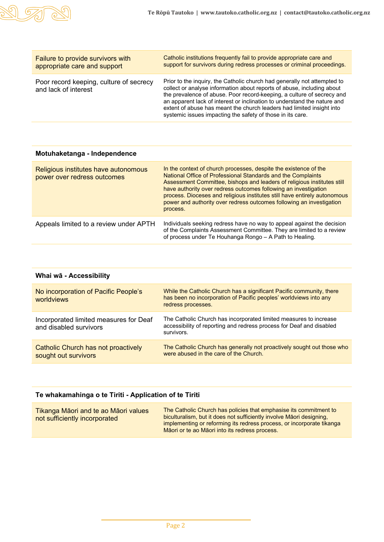

| Poor record keeping, culture of secrecy<br>and lack of interest | Prior to the inquiry, the Catholic church had generally not attempted to<br>collect or analyse information about reports of abuse, including about<br>the prevalence of abuse. Poor record-keeping, a culture of secrecy and<br>an apparent lack of interest or inclination to understand the nature and<br>extent of abuse has meant the church leaders had limited insight into<br>systemic issues impacting the safety of those in its care. |
|-----------------------------------------------------------------|-------------------------------------------------------------------------------------------------------------------------------------------------------------------------------------------------------------------------------------------------------------------------------------------------------------------------------------------------------------------------------------------------------------------------------------------------|

| Religious institutes have autonomous<br>power over redress outcomes | In the context of church processes, despite the existence of the<br>National Office of Professional Standards and the Complaints<br>Assessment Committee, bishops and leaders of religious institutes still<br>have authority over redress outcomes following an investigation<br>process. Dioceses and religious institutes still have entirely autonomous<br>power and authority over redress outcomes following an investigation<br>process. |
|---------------------------------------------------------------------|-------------------------------------------------------------------------------------------------------------------------------------------------------------------------------------------------------------------------------------------------------------------------------------------------------------------------------------------------------------------------------------------------------------------------------------------------|
| Appeals limited to a review under APTH                              | Individuals seeking redress have no way to appeal against the decision<br>of the Complaints Assessment Committee. They are limited to a review<br>of process under Te Houhanga Rongo - A Path to Healing.                                                                                                                                                                                                                                       |

| Whai wā - Accessibility                                          |                                                                                                                                                                 |
|------------------------------------------------------------------|-----------------------------------------------------------------------------------------------------------------------------------------------------------------|
| No incorporation of Pacific People's<br>worldviews               | While the Catholic Church has a significant Pacific community, there<br>has been no incorporation of Pacific peoples' worldviews into any<br>redress processes. |
| Incorporated limited measures for Deaf<br>and disabled survivors | The Catholic Church has incorporated limited measures to increase<br>accessibility of reporting and redress process for Deaf and disabled<br>survivors.         |
| Catholic Church has not proactively<br>sought out survivors      | The Catholic Church has generally not proactively sought out those who<br>were abused in the care of the Church.                                                |

## **Te whakamahinga o te Tiriti - Application of te Tiriti**

| Tikanga Māori and te ao Māori values<br>not sufficiently incorporated | The Catholic Church has policies that emphasise its commitment to<br>biculturalism, but it does not sufficiently involve Maori designing.<br>implementing or reforming its redress process, or incorporate tikanga<br>Māori or te ao Māori into its redress process. |
|-----------------------------------------------------------------------|----------------------------------------------------------------------------------------------------------------------------------------------------------------------------------------------------------------------------------------------------------------------|
|-----------------------------------------------------------------------|----------------------------------------------------------------------------------------------------------------------------------------------------------------------------------------------------------------------------------------------------------------------|